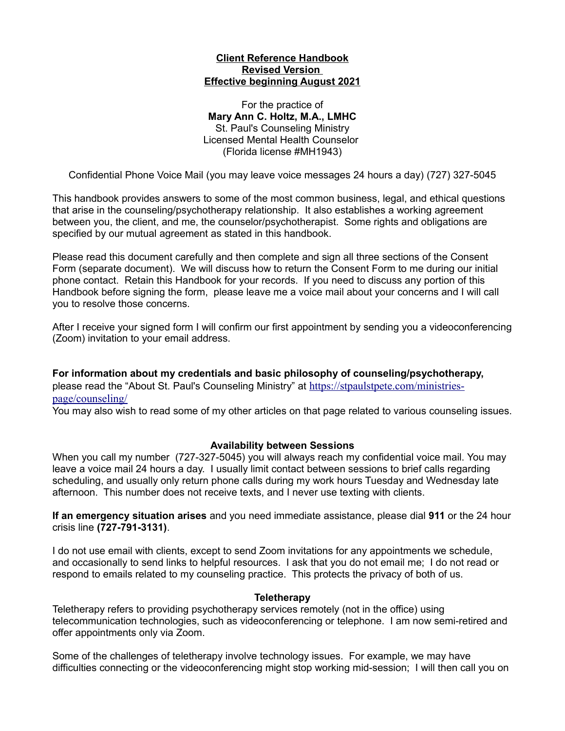### **Client Reference Handbook Revised Version Effective beginning August 2021**

For the practice of **Mary Ann C. Holtz, M.A., LMHC** St. Paul's Counseling Ministry Licensed Mental Health Counselor (Florida license #MH1943)

Confidential Phone Voice Mail (you may leave voice messages 24 hours a day) (727) 327-5045

This handbook provides answers to some of the most common business, legal, and ethical questions that arise in the counseling/psychotherapy relationship. It also establishes a working agreement between you, the client, and me, the counselor/psychotherapist. Some rights and obligations are specified by our mutual agreement as stated in this handbook.

Please read this document carefully and then complete and sign all three sections of the Consent Form (separate document). We will discuss how to return the Consent Form to me during our initial phone contact. Retain this Handbook for your records. If you need to discuss any portion of this Handbook before signing the form, please leave me a voice mail about your concerns and I will call you to resolve those concerns.

After I receive your signed form I will confirm our first appointment by sending you a videoconferencing (Zoom) invitation to your email address.

**For information about my credentials and basic philosophy of counseling/psychotherapy,** please read the "About St. Paul's Counseling Ministry" at [https://stpaulstpete.com/ministries](https://stpaulstpete.com/ministries-page/counseling/)[page/counseling/](https://stpaulstpete.com/ministries-page/counseling/)

You may also wish to read some of my other articles on that page related to various counseling issues.

### **Availability between Sessions**

When you call my number (727-327-5045) you will always reach my confidential voice mail. You may leave a voice mail 24 hours a day. I usually limit contact between sessions to brief calls regarding scheduling, and usually only return phone calls during my work hours Tuesday and Wednesday late afternoon. This number does not receive texts, and I never use texting with clients.

**If an emergency situation arises** and you need immediate assistance, please dial **911** or the 24 hour crisis line **(727-791-3131)**.

I do not use email with clients, except to send Zoom invitations for any appointments we schedule, and occasionally to send links to helpful resources. I ask that you do not email me; I do not read or respond to emails related to my counseling practice. This protects the privacy of both of us.

### **Teletherapy**

Teletherapy refers to providing psychotherapy services remotely (not in the office) using telecommunication technologies, such as videoconferencing or telephone. I am now semi-retired and offer appointments only via Zoom.

Some of the challenges of teletherapy involve technology issues. For example, we may have difficulties connecting or the videoconferencing might stop working mid-session; I will then call you on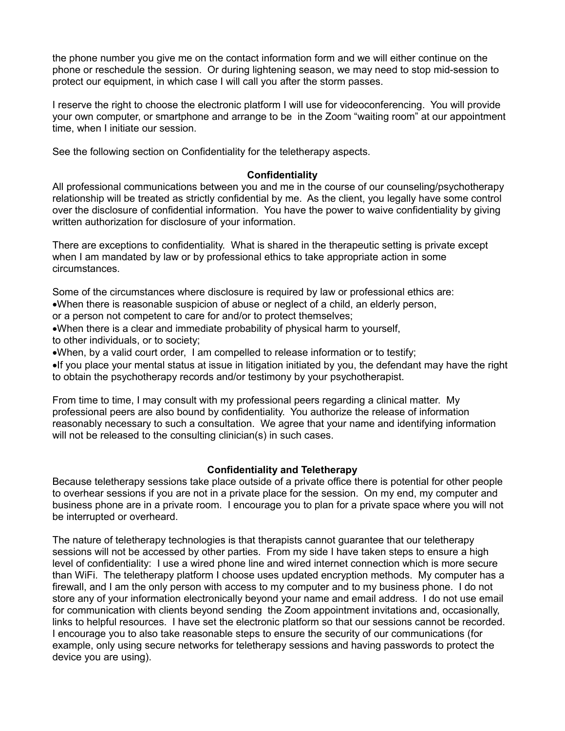the phone number you give me on the contact information form and we will either continue on the phone or reschedule the session. Or during lightening season, we may need to stop mid-session to protect our equipment, in which case I will call you after the storm passes.

I reserve the right to choose the electronic platform I will use for videoconferencing. You will provide your own computer, or smartphone and arrange to be in the Zoom "waiting room" at our appointment time, when I initiate our session.

See the following section on Confidentiality for the teletherapy aspects.

## **Confidentiality**

All professional communications between you and me in the course of our counseling/psychotherapy relationship will be treated as strictly confidential by me. As the client, you legally have some control over the disclosure of confidential information. You have the power to waive confidentiality by giving written authorization for disclosure of your information.

There are exceptions to confidentiality. What is shared in the therapeutic setting is private except when I am mandated by law or by professional ethics to take appropriate action in some circumstances.

Some of the circumstances where disclosure is required by law or professional ethics are: ·When there is reasonable suspicion of abuse or neglect of a child, an elderly person,

or a person not competent to care for and/or to protect themselves;

·When there is a clear and immediate probability of physical harm to yourself,

to other individuals, or to society;

·When, by a valid court order, I am compelled to release information or to testify;

·If you place your mental status at issue in litigation initiated by you, the defendant may have the right to obtain the psychotherapy records and/or testimony by your psychotherapist.

From time to time, I may consult with my professional peers regarding a clinical matter. My professional peers are also bound by confidentiality. You authorize the release of information reasonably necessary to such a consultation. We agree that your name and identifying information will not be released to the consulting clinician(s) in such cases.

# **Confidentiality and Teletherapy**

Because teletherapy sessions take place outside of a private office there is potential for other people to overhear sessions if you are not in a private place for the session. On my end, my computer and business phone are in a private room. I encourage you to plan for a private space where you will not be interrupted or overheard.

The nature of teletherapy technologies is that therapists cannot guarantee that our teletherapy sessions will not be accessed by other parties. From my side I have taken steps to ensure a high level of confidentiality: I use a wired phone line and wired internet connection which is more secure than WiFi. The teletherapy platform I choose uses updated encryption methods. My computer has a firewall, and I am the only person with access to my computer and to my business phone. I do not store any of your information electronically beyond your name and email address. I do not use email for communication with clients beyond sending the Zoom appointment invitations and, occasionally, links to helpful resources. I have set the electronic platform so that our sessions cannot be recorded. I encourage you to also take reasonable steps to ensure the security of our communications (for example, only using secure networks for teletherapy sessions and having passwords to protect the device you are using).